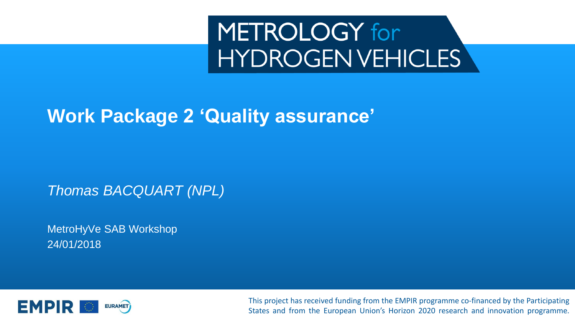# METROLOGY for **HYDROGENVEHICLES**

#### **Work Package 2 'Quality assurance'**

*Thomas BACQUART (NPL)*

MetroHyVe SAB Workshop 24/01/2018



This project has received funding from the EMPIR programme co-financed by the Participating States and from the European Union's Horizon 2020 research and innovation programme.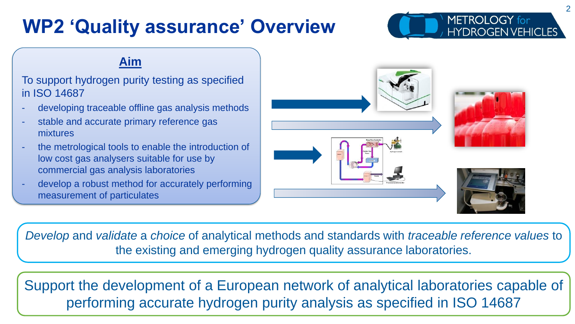#### **WP2 'Quality assurance' Overview**



#### **Aim**

#### To support hydrogen purity testing as specified in ISO 14687

- developing traceable offline gas analysis methods
- stable and accurate primary reference gas mixtures
- the metrological tools to enable the introduction of low cost gas analysers suitable for use by commercial gas analysis laboratories
- develop a robust method for accurately performing measurement of particulates



*Develop* and *validate* a *choice* of analytical methods and standards with *traceable reference values* to the existing and emerging hydrogen quality assurance laboratories.

Support the development of a European network of analytical laboratories capable of performing accurate hydrogen purity analysis as specified in ISO 14687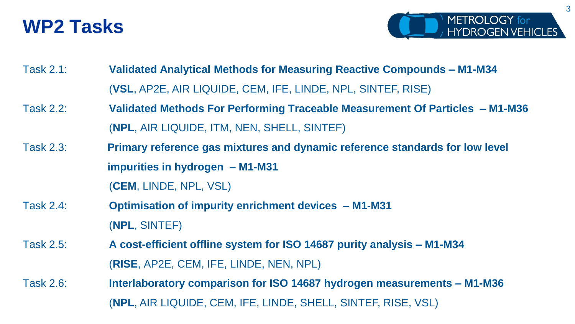#### **WP2 Tasks**



- Task 2.1: **Validated Analytical Methods for Measuring Reactive Compounds – M1-M34** (**VSL**, AP2E, AIR LIQUIDE, CEM, IFE, LINDE, NPL, SINTEF, RISE)
- Task 2.2: **Validated Methods For Performing Traceable Measurement Of Particles – M1-M36** (**NPL**, AIR LIQUIDE, ITM, NEN, SHELL, SINTEF)
- Task 2.3: **Primary reference gas mixtures and dynamic reference standards for low level impurities in hydrogen – M1-M31**

(**CEM**, LINDE, NPL, VSL)

- Task 2.4: **Optimisation of impurity enrichment devices – M1-M31** (**NPL**, SINTEF)
- Task 2.5: **A cost-efficient offline system for ISO 14687 purity analysis – M1-M34** (**RISE**, AP2E, CEM, IFE, LINDE, NEN, NPL)
- Task 2.6: **Interlaboratory comparison for ISO 14687 hydrogen measurements – M1-M36** (**NPL**, AIR LIQUIDE, CEM, IFE, LINDE, SHELL, SINTEF, RISE, VSL)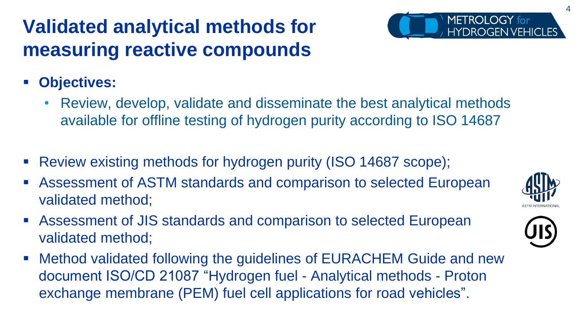#### **Validated analytical methods for measuring reactive compounds**



- **Objectives:** 
	- Review, develop, validate and disseminate the best analytical methods available for offline testing of hydrogen purity according to ISO 14687
- Review existing methods for hydrogen purity (ISO 14687 scope);
- Assessment of ASTM standards and comparison to selected European validated method;
- Assessment of JIS standards and comparison to selected European validated method;
- Method validated following the guidelines of EURACHEM Guide and new document ISO/CD 21087 "Hydrogen fuel - Analytical methods - Proton exchange membrane (PEM) fuel cell applications for road vehicles".

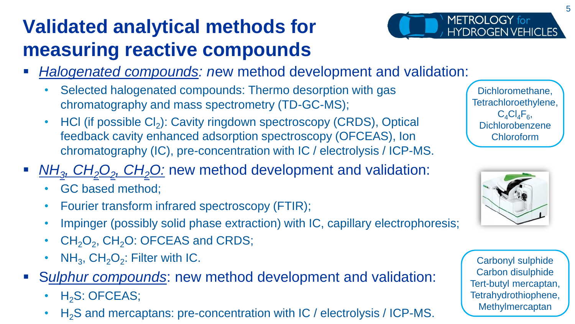### **Validated analytical methods for measuring reactive compounds**



- **Halogenated compounds: new method development and validation:** 
	- Selected halogenated compounds: Thermo desorption with gas chromatography and mass spectrometry (TD-GC-MS);
	- HCI (if possible  $Cl<sub>2</sub>$ ): Cavity ringdown spectroscopy (CRDS), Optical feedback cavity enhanced adsorption spectroscopy (OFCEAS), Ion chromatography (IC), pre-concentration with IC / electrolysis / ICP-MS.
- *NH<sub>3</sub>*, *CH*<sub>2</sub><sup>O<sub>2</sub></sub>, *CH*<sub>2</sub><sup>O</sup>: new method development and validation:</sup>
	- GC based method;
	- Fourier transform infrared spectroscopy (FTIR);
	- Impinger (possibly solid phase extraction) with IC, capillary electrophoresis;
	- $CH_2O_2$ ,  $CH_2O$ : OFCEAS and CRDS;
	- $NH_3$ ,  $CH_2O_2$ : Filter with IC.
- S*ulphur compounds*: new method development and validation:
	- $\cdot$  H<sub>2</sub>S: OFCEAS;
	- $H<sub>2</sub>S$  and mercaptans: pre-concentration with IC / electrolysis / ICP-MS.





Carbonyl sulphide Carbon disulphide Tert-butyl mercaptan, Tetrahydrothiophene, Methylmercaptan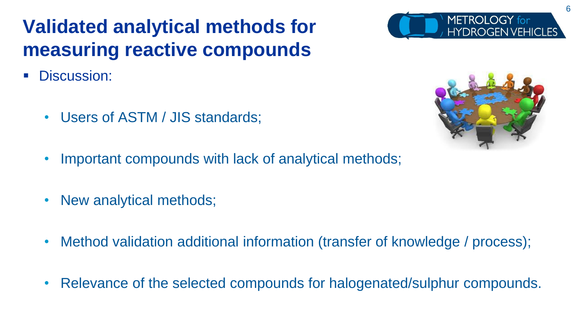#### **Validated analytical methods for measuring reactive compounds**

- Discussion:
	- Users of ASTM / JIS standards;
	- Important compounds with lack of analytical methods;
	- New analytical methods;
	- Method validation additional information (transfer of knowledge / process);
	- Relevance of the selected compounds for halogenated/sulphur compounds.



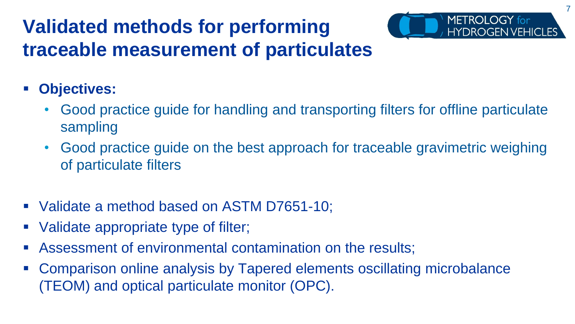#### **Validated methods for performing traceable measurement of particulates**

- **Objectives:** 
	- Good practice guide for handling and transporting filters for offline particulate sampling

7

METROLOGY for

- Good practice guide on the best approach for traceable gravimetric weighing of particulate filters
- Validate a method based on ASTM D7651-10;
- Validate appropriate type of filter;
- Assessment of environmental contamination on the results;
- Comparison online analysis by Tapered elements oscillating microbalance (TEOM) and optical particulate monitor (OPC).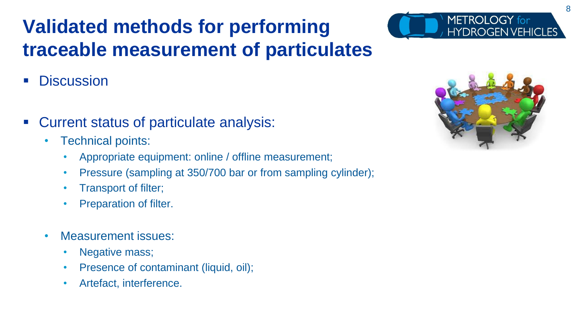# **Validated methods for performing traceable measurement of particulates**

- **Discussion**
- Current status of particulate analysis:
	- Technical points:
		- Appropriate equipment: online / offline measurement;
		- Pressure (sampling at 350/700 bar or from sampling cylinder);
		- Transport of filter;
		- Preparation of filter.
	- Measurement issues:
		- Negative mass;
		- Presence of contaminant (liquid, oil);
		- Artefact, interference.



METROLOGY for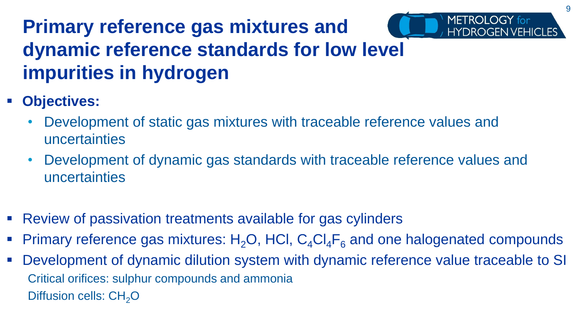### **Primary reference gas mixtures and dynamic reference standards for low level impurities in hydrogen**

- **Objectives:** 
	- Development of static gas mixtures with traceable reference values and uncertainties
	- Development of dynamic gas standards with traceable reference values and uncertainties
- Review of passivation treatments available for gas cylinders
- Primary reference gas mixtures:  $H_2O$ , HCl,  $C_4Cl_4F_6$  and one halogenated compounds
- Development of dynamic dilution system with dynamic reference value traceable to SI Critical orifices: sulphur compounds and ammonia Diffusion cells:  $CH<sub>2</sub>O$

METROLOGY for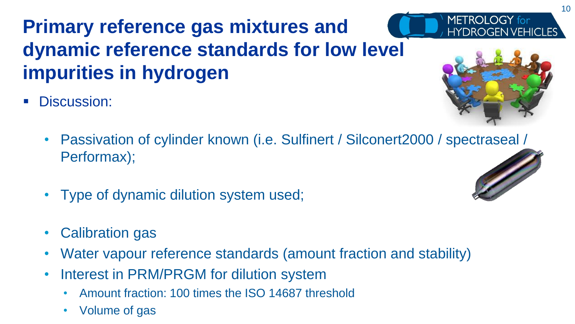### **Primary reference gas mixtures and dynamic reference standards for low level impurities in hydrogen**

Discussion:



**HYDROGEN VEHICLES** 

METROLOGY for

- Passivation of cylinder known (i.e. Sulfinert / Silconert2000 / spectraseal / Performax);
- Type of dynamic dilution system used;
- Calibration gas
- Water vapour reference standards (amount fraction and stability)
- Interest in PRM/PRGM for dilution system
	- Amount fraction: 100 times the ISO 14687 threshold
	- Volume of gas

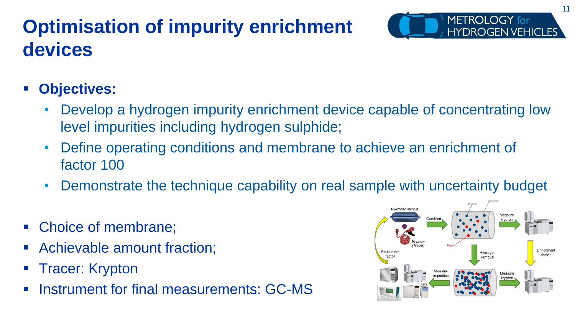## **Optimisation of impurity enrichment devices**



- **Objectives:** 
	- Develop a hydrogen impurity enrichment device capable of concentrating low level impurities including hydrogen sulphide;
	- Define operating conditions and membrane to achieve an enrichment of factor 100
	- Demonstrate the technique capability on real sample with uncertainty budget
- Choice of membrane;
- Achievable amount fraction;
- **Tracer: Krypton**
- Instrument for final measurements: GC-MS

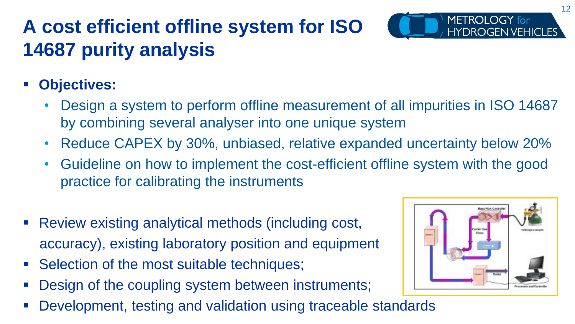# **A cost efficient offline system for ISO 14687 purity analysis**



- Design a system to perform offline measurement of all impurities in ISO 14687 by combining several analyser into one unique system
- Reduce CAPEX by 30%, unbiased, relative expanded uncertainty below 20%
- Guideline on how to implement the cost-efficient offline system with the good practice for calibrating the instruments
- Review existing analytical methods (including cost, accuracy), existing laboratory position and equipment
- Selection of the most suitable techniques;
- Design of the coupling system between instruments;
- Development, testing and validation using traceable standards



METROLOGY for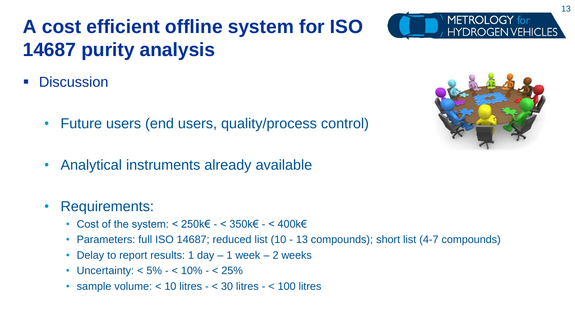## **A cost efficient offline system for ISO 14687 purity analysis**

- **Discussion** 
	- Future users (end users, quality/process control)
	- Analytical instruments already available

#### • Requirements:

- Cost of the system:  $< 250k \in -350k \in -400k \in$
- Parameters: full ISO 14687; reduced list (10 13 compounds); short list (4-7 compounds)
- Delay to report results: 1 day 1 week 2 weeks
- Uncertainty: <  $5\% 10\% 25\%$
- sample volume: < 10 litres < 30 litres < 100 litres





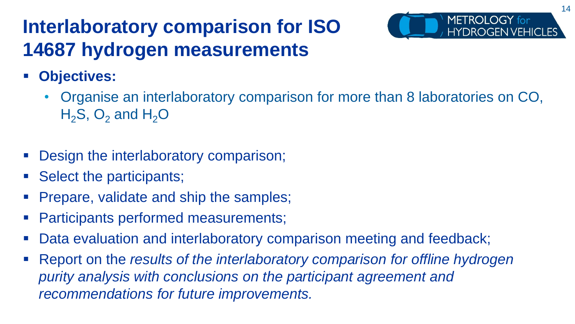#### **Interlaboratory comparison for ISO 14687 hydrogen measurements**



- **Objectives:** 
	- Organise an interlaboratory comparison for more than 8 laboratories on CO,  $H_2S$ , O<sub>2</sub> and  $H_2O$
- Design the interlaboratory comparison;
- Select the participants;
- Prepare, validate and ship the samples;
- Participants performed measurements;
- Data evaluation and interlaboratory comparison meeting and feedback;
- Report on the *results of the interlaboratory comparison for offline hydrogen purity analysis with conclusions on the participant agreement and recommendations for future improvements.*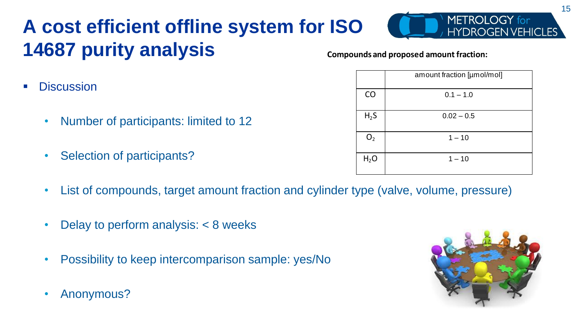# **A cost efficient offline system for ISO 14687 purity analysis**

- **Discussion** 
	- Number of participants: limited to 12
	- Selection of participants?
	- List of compounds, target amount fraction and cylinder type (valve, volume, pressure)
	- Delay to perform analysis: < 8 weeks
	- Possibility to keep intercomparison sample: yes/No
	- Anonymous?



|                  | amount fraction [µmol/mol] |
|------------------|----------------------------|
| CO               | $0.1 - 1.0$                |
| $H_2S$           | $0.02 - 0.5$               |
| $\mathrm{O}_2$   | $1 - 10$                   |
| H <sub>2</sub> O | $1 - 10$                   |



METROLOGY for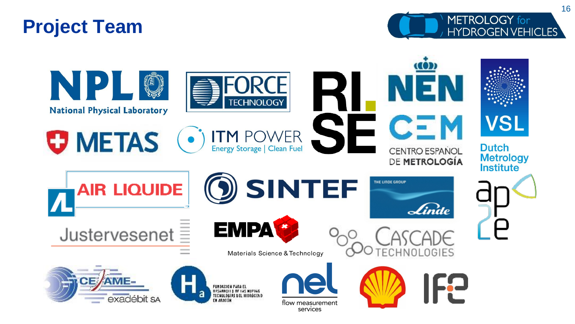#### **Project Team**